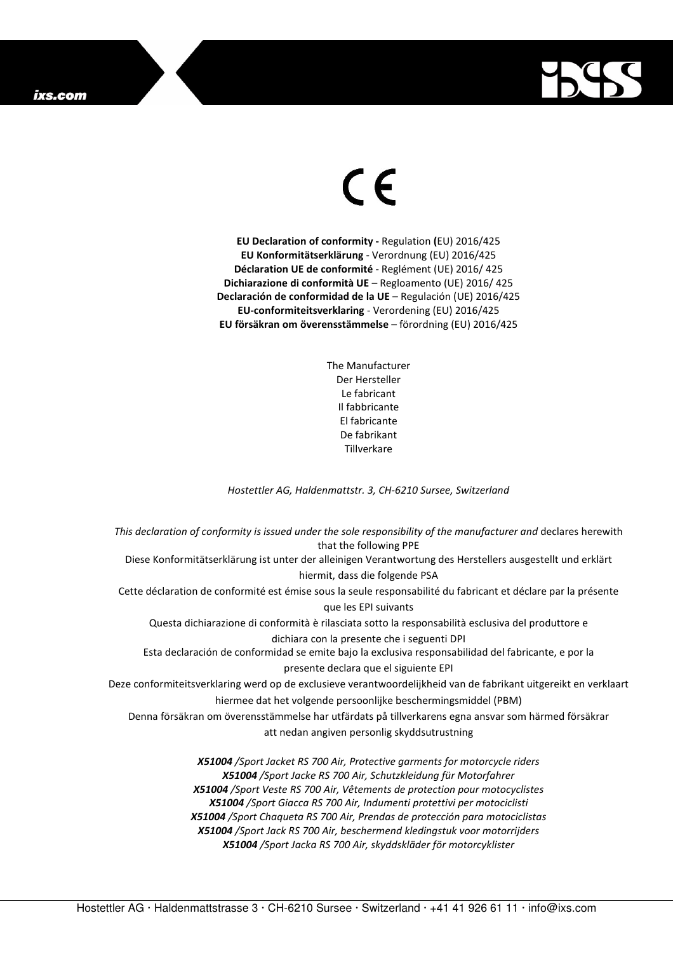## ixs.com



## $\in$

**EU Declaration of conformity -** Regulation **(**EU) 2016/425 **EU Konformitätserklärung** - Verordnung (EU) 2016/425 **Déclaration UE de conformité** - Reglément (UE) 2016/ 425 **Dichiarazione di conformità UE** – Regloamento (UE) 2016/ 425 **Declaración de conformidad de la UE** – Regulación (UE) 2016/425 **EU-conformiteitsverklaring** - Verordening (EU) 2016/425 **EU försäkran om överensstämmelse** – förordning (EU) 2016/425

> The Manufacturer Der Hersteller Le fabricant Il fabbricante El fabricante De fabrikant **Tillverkare**

*Hostettler AG, Haldenmattstr. 3, CH-6210 Sursee, Switzerland* 

*This declaration of conformity is issued under the sole responsibility of the manufacturer and* declares herewith that the following PPE Diese Konformitätserklärung ist unter der alleinigen Verantwortung des Herstellers ausgestellt und erklärt hiermit, dass die folgende PSA Cette déclaration de conformité est émise sous la seule responsabilité du fabricant et déclare par la présente que les EPI suivants Questa dichiarazione di conformità è rilasciata sotto la responsabilità esclusiva del produttore e dichiara con la presente che i seguenti DPI Esta declaración de conformidad se emite bajo la exclusiva responsabilidad del fabricante, e por la presente declara que el siguiente EPI Deze conformiteitsverklaring werd op de exclusieve verantwoordelijkheid van de fabrikant uitgereikt en verklaart hiermee dat het volgende persoonlijke beschermingsmiddel (PBM) Denna försäkran om överensstämmelse har utfärdats på tillverkarens egna ansvar som härmed försäkrar att nedan angiven personlig skyddsutrustning *X51004 /Sport Jacket RS 700 Air, Protective garments for motorcycle riders X51004 /Sport Jacke RS 700 Air, Schutzkleidung für Motorfahrer X51004 /Sport Veste RS 700 Air, Vêtements de protection pour motocyclistes X51004 /Sport Giacca RS 700 Air, Indumenti protettivi per motociclisti* 

*X51004 /Sport Chaqueta RS 700 Air, Prendas de protección para motociclistas X51004 /Sport Jack RS 700 Air, beschermend kledingstuk voor motorrijders X51004 /Sport Jacka RS 700 Air, skyddskläder för motorcyklister*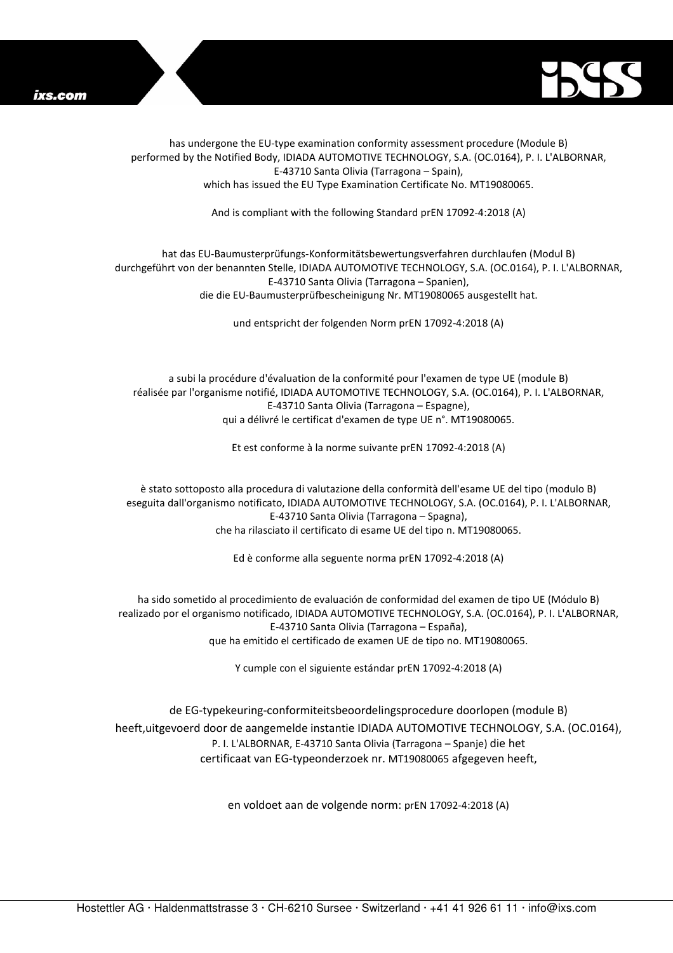



has undergone the EU-type examination conformity assessment procedure (Module B) performed by the Notified Body, IDIADA AUTOMOTIVE TECHNOLOGY, S.A. (OC.0164), P. I. L'ALBORNAR, E-43710 Santa Olivia (Tarragona – Spain), which has issued the EU Type Examination Certificate No. MT19080065.

And is compliant with the following Standard prEN 17092-4:2018 (A)

## hat das EU-Baumusterprüfungs-Konformitätsbewertungsverfahren durchlaufen (Modul B) durchgeführt von der benannten Stelle, IDIADA AUTOMOTIVE TECHNOLOGY, S.A. (OC.0164), P. I. L'ALBORNAR, E-43710 Santa Olivia (Tarragona – Spanien), die die EU-Baumusterprüfbescheinigung Nr. MT19080065 ausgestellt hat.

und entspricht der folgenden Norm prEN 17092-4:2018 (A)

a subi la procédure d'évaluation de la conformité pour l'examen de type UE (module B) réalisée par l'organisme notifié, IDIADA AUTOMOTIVE TECHNOLOGY, S.A. (OC.0164), P. I. L'ALBORNAR, E-43710 Santa Olivia (Tarragona – Espagne), qui a délivré le certificat d'examen de type UE n°. MT19080065.

Et est conforme à la norme suivante prEN 17092-4:2018 (A)

è stato sottoposto alla procedura di valutazione della conformità dell'esame UE del tipo (modulo B) eseguita dall'organismo notificato, IDIADA AUTOMOTIVE TECHNOLOGY, S.A. (OC.0164), P. I. L'ALBORNAR, E-43710 Santa Olivia (Tarragona – Spagna), che ha rilasciato il certificato di esame UE del tipo n. MT19080065.

Ed è conforme alla seguente norma prEN 17092-4:2018 (A)

ha sido sometido al procedimiento de evaluación de conformidad del examen de tipo UE (Módulo B) realizado por el organismo notificado, IDIADA AUTOMOTIVE TECHNOLOGY, S.A. (OC.0164), P. I. L'ALBORNAR, E-43710 Santa Olivia (Tarragona – España), que ha emitido el certificado de examen UE de tipo no. MT19080065.

Y cumple con el siguiente estándar prEN 17092-4:2018 (A)

de EG-typekeuring-conformiteitsbeoordelingsprocedure doorlopen (module B) heeft,uitgevoerd door de aangemelde instantie IDIADA AUTOMOTIVE TECHNOLOGY, S.A. (OC.0164), P. I. L'ALBORNAR, E-43710 Santa Olivia (Tarragona – Spanje) die het certificaat van EG-typeonderzoek nr. MT19080065 afgegeven heeft,

en voldoet aan de volgende norm: prEN 17092-4:2018 (A)